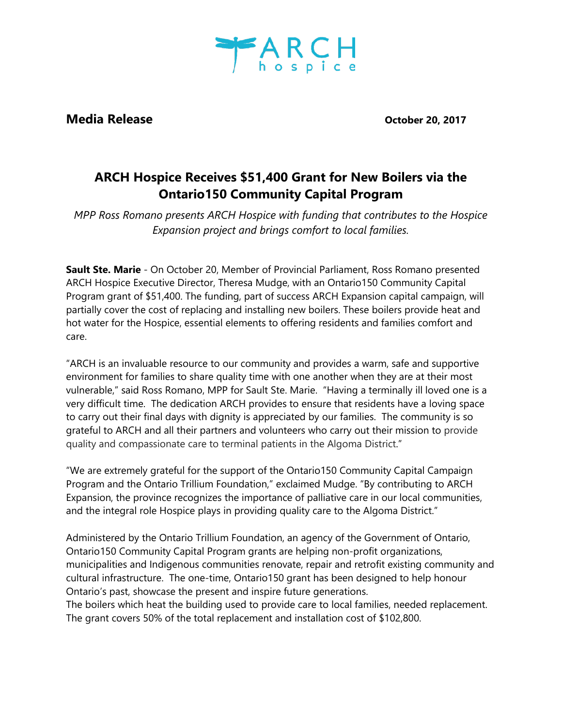

**Media Release Contract Contract Contract Contract Contract Contract Contract Contract Contract Contract Contract Contract Contract Contract Contract Contract Contract Contract Contract Contract Contract Contract Contrac** 

## **ARCH Hospice Receives \$51,400 Grant for New Boilers via the Ontario150 Community Capital Program**

*MPP Ross Romano presents ARCH Hospice with funding that contributes to the Hospice Expansion project and brings comfort to local families.*

**Sault Ste. Marie** - On October 20, Member of Provincial Parliament, Ross Romano presented ARCH Hospice Executive Director, Theresa Mudge, with an Ontario150 Community Capital Program grant of \$51,400. The funding, part of success ARCH Expansion capital campaign, will partially cover the cost of replacing and installing new boilers. These boilers provide heat and hot water for the Hospice, essential elements to offering residents and families comfort and care.

"ARCH is an invaluable resource to our community and provides a warm, safe and supportive environment for families to share quality time with one another when they are at their most vulnerable," said Ross Romano, MPP for Sault Ste. Marie. "Having a terminally ill loved one is a very difficult time. The dedication ARCH provides to ensure that residents have a loving space to carry out their final days with dignity is appreciated by our families. The community is so grateful to ARCH and all their partners and volunteers who carry out their mission to provide quality and compassionate care to terminal patients in the Algoma District."

"We are extremely grateful for the support of the Ontario150 Community Capital Campaign Program and the Ontario Trillium Foundation," exclaimed Mudge. "By contributing to ARCH Expansion, the province recognizes the importance of palliative care in our local communities, and the integral role Hospice plays in providing quality care to the Algoma District."

Administered by the Ontario Trillium Foundation, an agency of the Government of Ontario, Ontario150 Community Capital Program grants are helping non-profit organizations, municipalities and Indigenous communities renovate, repair and retrofit existing community and cultural infrastructure. The one-time, Ontario150 grant has been designed to help honour Ontario's past, showcase the present and inspire future generations.

The boilers which heat the building used to provide care to local families, needed replacement. The grant covers 50% of the total replacement and installation cost of \$102,800.